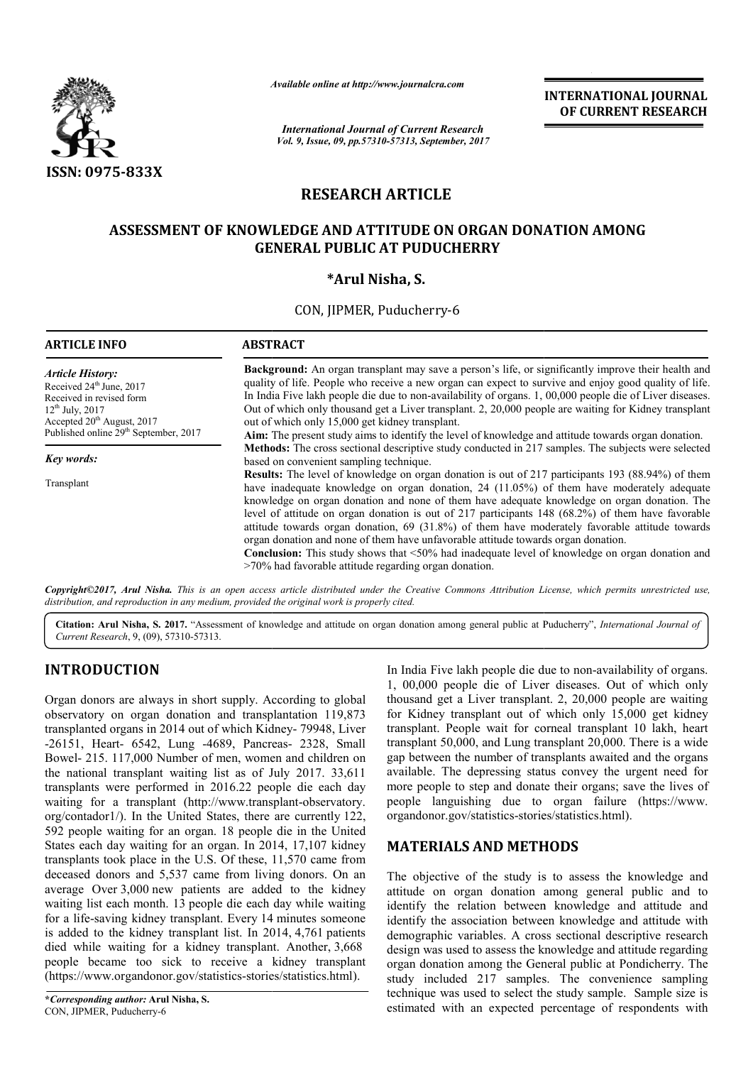

*Available online at http://www.journal http://www.journalcra.com*

*International Journal of Current Research Vol. 9, Issue, 09, pp.57310-57313, September, 2017* **INTERNATIONAL JOURNAL OF CURRENT RESEARCH** 

# **RESEARCH ARTICLE**

## **ASSESSMENT OF KNOWLEDGE AND ATTITUDE ON ORGAN DONATION AMONG ASSESSMENT KNOWLEDGE AND GENERAL PUBLIC AT PUDUCHERRY**

## **\*Arul Nisha, S.**

CON, JIPMER, Puducherry-6

| <b>ARTICLE INFO</b>                                                                                                                                                                                                       | <b>ABSTRACT</b>                                                                                                                                                                                                                                                                                                                                                                                                                                                                                                                                                                                                                                                                                                                                                                |  |  |  |
|---------------------------------------------------------------------------------------------------------------------------------------------------------------------------------------------------------------------------|--------------------------------------------------------------------------------------------------------------------------------------------------------------------------------------------------------------------------------------------------------------------------------------------------------------------------------------------------------------------------------------------------------------------------------------------------------------------------------------------------------------------------------------------------------------------------------------------------------------------------------------------------------------------------------------------------------------------------------------------------------------------------------|--|--|--|
| <i><b>Article History:</b></i><br>Received 24 <sup>th</sup> June, 2017<br>Received in revised form<br>$12^{th}$ July, 2017<br>Accepted 20 <sup>th</sup> August, 2017<br>Published online 29 <sup>th</sup> September, 2017 | <b>Background:</b> An organ transplant may save a person's life, or significantly improve their health and<br>quality of life. People who receive a new organ can expect to survive and enjoy good quality of life.<br>In India Five lakh people die due to non-availability of organs. 1, 00,000 people die of Liver diseases.<br>Out of which only thousand get a Liver transplant. 2, 20,000 people are waiting for Kidney transplant<br>out of which only 15,000 get kidney transplant.                                                                                                                                                                                                                                                                                    |  |  |  |
|                                                                                                                                                                                                                           | Aim: The present study aims to identify the level of knowledge and attitude towards organ donation.                                                                                                                                                                                                                                                                                                                                                                                                                                                                                                                                                                                                                                                                            |  |  |  |
| Key words:                                                                                                                                                                                                                | Methods: The cross sectional descriptive study conducted in 217 samples. The subjects were selected<br>based on convenient sampling technique.                                                                                                                                                                                                                                                                                                                                                                                                                                                                                                                                                                                                                                 |  |  |  |
| Transplant                                                                                                                                                                                                                | <b>Results:</b> The level of knowledge on organ donation is out of 217 participants 193 (88.94%) of them<br>have inadequate knowledge on organ donation, 24 (11.05%) of them have moderately adequate<br>knowledge on organ donation and none of them have adequate knowledge on organ donation. The<br>level of attitude on organ donation is out of 217 participants 148 $(68.2%)$ of them have favorable<br>attitude towards organ donation, 69 (31.8%) of them have moderately favorable attitude towards<br>organ donation and none of them have unfavorable attitude towards organ donation.<br><b>Conclusion:</b> This study shows that $\leq 50\%$ had inadequate level of knowledge on organ donation and<br>$>70\%$ had favorable attitude regarding organ donation. |  |  |  |

*Copyright©2017, Arul Nisha. This is an open access article distributed under the Creative Commons Attribution License, which ribution which permits unrestricted use, distribution, and reproduction in any medium, provided the original work is properly cited.*

Citation: Arul Nisha, S. 2017. "Assessment of knowledge and attitude on organ donation among general public at Puducherry", *International Journal of Current Research*, 9, (09), 57310-57313.

## **INTRODUCTION**

Organ donors are always in short supply. According to global observatory on organ donation and transplantation 119,873 transplanted organs in 2014 out of which Kidney- 79948, Liver -26151, Heart- 6542, Lung -4689, Pancreas Pancreas- 2328, Small Bowel- 215. 117,000 Number of men, women and children on the national transplant waiting list as of July 2017. 33,611 transplants were performed in 2016.22 people die each day waiting for a transplant (http://www.transplant-observatory. org/contador1/). In the United States, there are currently 122, 592 people waiting for an organ. 18 people die in the United States each day waiting for an organ. In 2014, 17,107 kidney transplants took place in the U.S. Of these, 11,570 came from deceased donors and 5,537 came from living donors. On an average Over 3,000 new patients are added to the kidney waiting list each month. 13 people die each day while waiting for a life-saving kidney transplant. Every 14 minutes someone is added to the kidney transplant list. In 2014, 4,761 patients died while waiting for a kidney transplant. Another, 3,668 people became too sick to receive a kidney transplant (https://www.organdonor.gov/statistics-stories/statistics.html).

In India Five lakh people die due to non-availability of organs. 1, 00,000 people die of Liver diseases. Out of which only thousand get a Liver transplant. 2, 20,000 people are waiting for Kidney transplant out of which only 15,000 get kidney transplant. People wait for corneal transplant 10 lakh, heart transplant 50,000, and Lung transplant 20,000. There is a wide gap between the number of transplants awaited and the organs available. The depressing status convey the urgent need for more people to step and donate their organs; save the lives of people languishing due to organ failure failure (https://www. organdonor.gov/statistics-stories/statistics.html). 00,000 people die of Liver diseases. Out of which only usand get a Liver transplant. 2, 20,000 people are waiting Kidney transplant out of which only 15,000 get kidney nsplant. People wait for corneal transplant 10 lakh, h

## **MATERIALS AND METHOD METHODS**

The objective of the study is to assess the knowledge and The objective of the study is to assess the knowledge and attitude on organ donation among general public and to identify the relation between knowledge and attitude and identify the association between knowledge and attitude with demographic variables. A cross sectional descriptive research design was used to assess the knowledge and attitude regarding organ donation among the General public at Pondicherry. The study included 217 samples. The convenience sampling technique was used to select the study sample. Sample size is estimated with an expected percentage of respondents identify the relation between knowledge and attitude and<br>identify the association between knowledge and attitude with<br>demographic variables. A cross sectional descriptive research<br>design was used to assess the knowledge an donation among the General public at Pondicherry. The included 217 samples. The convenience sampling que was used to select the study sample. Sample size is ted with an expected percentage of respondents with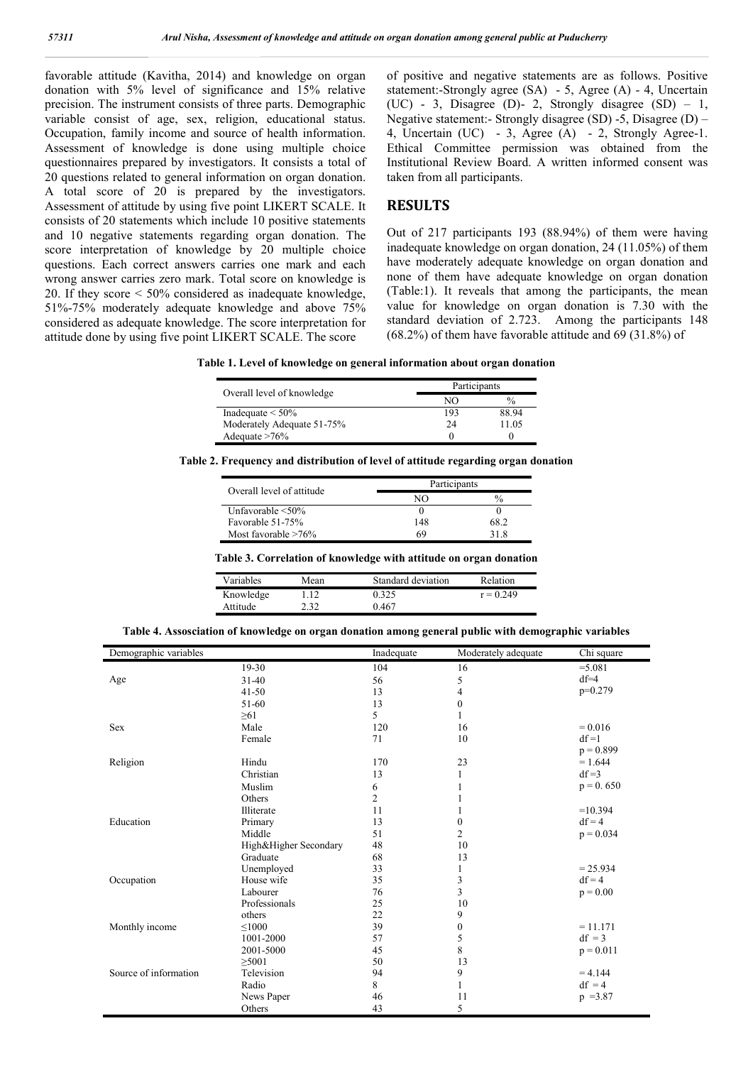favorable attitude (Kavitha, 2014) and knowledge on organ donation with 5% level of significance and 15% relative precision. The instrument consists of three parts. Demographic variable consist of age, sex, religion, educational status. Occupation, family income and source of health information. Assessment of knowledge is done using multiple choice questionnaires prepared by investigators. It consists a total of 20 questions related to general information on organ donation. A total score of 20 is prepared by the investigators. Assessment of attitude by using five point LIKERT SCALE. It consists of 20 statements which include 10 positive statements and 10 negative statements regarding organ donation. The score interpretation of knowledge by 20 multiple choice questions. Each correct answers carries one mark and each wrong answer carries zero mark. Total score on knowledge is 20. If they score < 50% considered as inadequate knowledge, 51%-75% moderately adequate knowledge and above 75% considered as adequate knowledge. The score interpretation for attitude done by using five point LIKERT SCALE. The score

of positive and negative statements are as follows. Positive statement:-Strongly agree (SA) - 5, Agree (A) - 4, Uncertain (UC) - 3, Disagree (D)- 2, Strongly disagree  $(SD) - 1$ , Negative statement:- Strongly disagree (SD) -5, Disagree (D) – 4, Uncertain (UC) - 3, Agree (A) - 2, Strongly Agree-1. Ethical Committee permission was obtained from the Institutional Review Board. A written informed consent was taken from all participants.

### **RESULTS**

Out of 217 participants 193 (88.94%) of them were having inadequate knowledge on organ donation, 24 (11.05%) of them have moderately adequate knowledge on organ donation and none of them have adequate knowledge on organ donation (Table:1). It reveals that among the participants, the mean value for knowledge on organ donation is 7.30 with the standard deviation of 2.723. Among the participants 148 (68.2%) of them have favorable attitude and 69 (31.8%) of

**Table 1. Level of knowledge on general information about organ donation**

|                            | Participants |               |  |
|----------------------------|--------------|---------------|--|
| Overall level of knowledge | NΩ           | $\frac{0}{0}$ |  |
| Inadequate $\leq 50\%$     | 193          | 88.94         |  |
| Moderately Adequate 51-75% | 24           | 11 05         |  |
| Adequate $>76\%$           |              |               |  |

**Table 2. Frequency and distribution of level of attitude regarding organ donation**

| Overall level of attitude | Participants |               |
|---------------------------|--------------|---------------|
|                           |              | $\frac{0}{0}$ |
| Unfavorable $\leq 50\%$   |              |               |
| Favorable 51-75%          | 148          | 58 2          |
| Most favorable $>76\%$    | 69           |               |

#### **Table 3. Correlation of knowledge with attitude on organ donation**

| Variables | Mean | Standard deviation | Relation    |
|-----------|------|--------------------|-------------|
| Knowledge | 1.12 | 0.325              | $r = 0.249$ |
| Attitude  | 2.32 | 0 467              |             |

**Table 4. Assosciation of knowledge on organ donation among general public with demographic variables**

| Demographic variables |                       | Inadequate     | Moderately adequate | Chi square  |
|-----------------------|-----------------------|----------------|---------------------|-------------|
|                       | 19-30                 | 104            | 16                  | $= 5.081$   |
| Age                   | $31-40$               | 56             | 5                   | $df=4$      |
|                       | $41 - 50$             | 13             | 4                   | $p=0.279$   |
|                       | 51-60                 | 13             | $\boldsymbol{0}$    |             |
|                       | $\geq 61$             | 5              | 1                   |             |
| <b>Sex</b>            | Male                  | 120            | 16                  | $= 0.016$   |
|                       | Female                | 71             | 10                  | $df = 1$    |
|                       |                       |                |                     | $p = 0.899$ |
| Religion              | Hindu                 | 170            | 23                  | $= 1.644$   |
|                       | Christian             | 13             | 1                   | $df = 3$    |
|                       | Muslim                | 6              | 1                   | $p = 0.650$ |
|                       | Others                | $\overline{c}$ |                     |             |
|                       | Illiterate            | 11             |                     | $=10.394$   |
| Education             | Primary               | 13             | $\mathbf{0}$        | $df = 4$    |
|                       | Middle                | 51             | $\overline{c}$      | $p = 0.034$ |
|                       | High&Higher Secondary | 48             | 10                  |             |
|                       | Graduate              | 68             | 13                  |             |
|                       | Unemployed            | 33             | 1                   | $= 25.934$  |
| Occupation            | House wife            | 35             | 3                   | $df = 4$    |
|                       | Labourer              | 76             | 3                   | $p = 0.00$  |
|                       | Professionals         | 25             | 10                  |             |
|                       | others                | 22             | 9                   |             |
| Monthly income        | $\leq 1000$           | 39             | $\boldsymbol{0}$    | $= 11.171$  |
|                       | 1001-2000             | 57             | 5                   | $df = 3$    |
|                       | 2001-5000             | 45             | $\,8\,$             | $p = 0.011$ |
|                       | $\geq$ 5001           | 50             | 13                  |             |
| Source of information | Television            | 94             | 9                   | $= 4.144$   |
|                       | Radio                 | 8              | 1                   | $df = 4$    |
|                       | News Paper            | 46             | 11                  | $p = 3.87$  |
|                       | Others                | 43             | 5                   |             |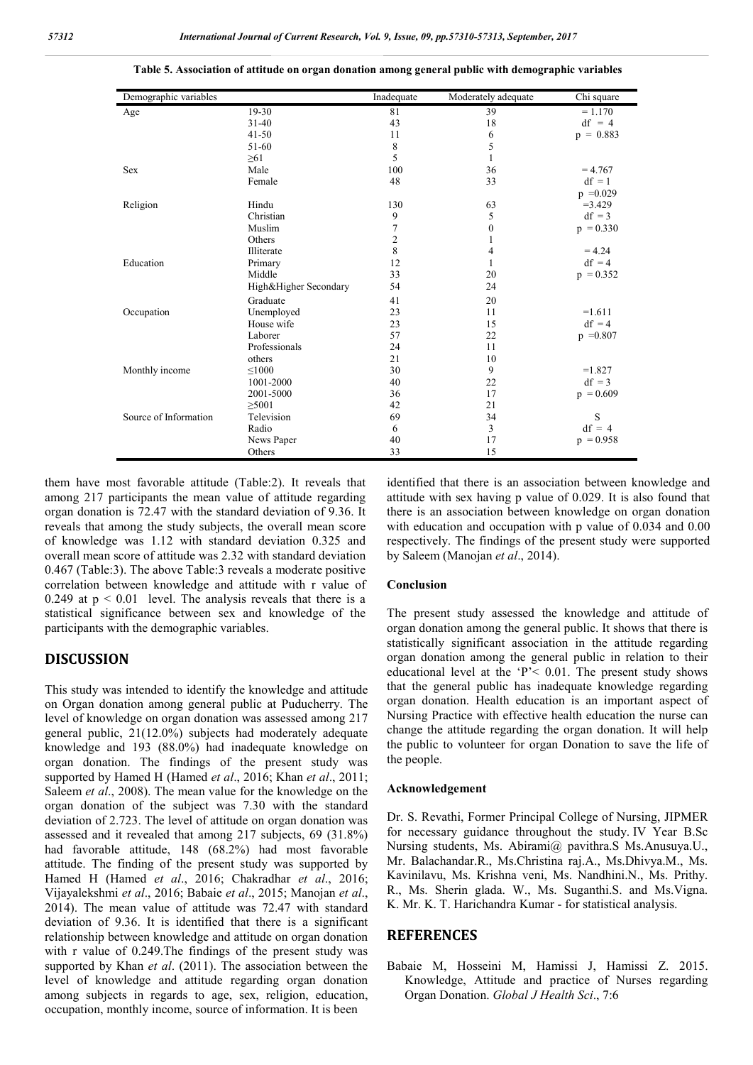| Demographic variables |                       | Inadequate     | Moderately adequate | Chi square  |
|-----------------------|-----------------------|----------------|---------------------|-------------|
| Age                   | $19-30$               | 81             | 39                  | $= 1.170$   |
|                       | $31 - 40$             | 43             | 18                  | $df = 4$    |
|                       | $41 - 50$             | 11             | 6                   | $p = 0.883$ |
|                       | 51-60                 | $\,$ 8 $\,$    | 5                   |             |
|                       | $\geq 61$             | 5              | 1                   |             |
| Sex                   | Male                  | 100            | 36                  | $= 4.767$   |
|                       | Female                | 48             | 33                  | $df = 1$    |
|                       |                       |                |                     | $p = 0.029$ |
| Religion              | Hindu                 | 130            | 63                  | $= 3.429$   |
|                       | Christian             | 9              | 5                   | $df = 3$    |
|                       | Muslim                | $\tau$         | $\boldsymbol{0}$    | $p = 0.330$ |
|                       | Others                | $\overline{c}$ |                     |             |
|                       | Illiterate            | 8              | 4                   | $= 4.24$    |
| Education             | Primary               | 12             |                     | $df = 4$    |
|                       | Middle                | 33             | 20                  | $p = 0.352$ |
|                       | High&Higher Secondary | 54             | 24                  |             |
|                       | Graduate              | 41             | 20                  |             |
| Occupation            | Unemployed            | 23             | 11                  | $=1.611$    |
|                       | House wife            | 23             | 15                  | $df = 4$    |
|                       | Laborer               | 57             | 22                  | $p = 0.807$ |
|                       | Professionals         | 24             | 11                  |             |
|                       | others                | 21             | 10                  |             |
| Monthly income        | $\leq 1000$           | 30             | 9                   | $=1.827$    |
|                       | 1001-2000             | 40             | 22                  | $df = 3$    |
|                       | 2001-5000             | 36             | 17                  | $p = 0.609$ |
|                       | $\geq$ 5001           | 42             | 21                  |             |
| Source of Information | Television            | 69             | 34                  | S           |
|                       | Radio                 | 6              | 3                   | $df = 4$    |
|                       | News Paper            | 40             | 17                  | $p = 0.958$ |
|                       | Others                | 33             | 15                  |             |

**Table 5. Association of attitude on organ donation among general public with demographic variables**

them have most favorable attitude (Table:2). It reveals that among 217 participants the mean value of attitude regarding organ donation is 72.47 with the standard deviation of 9.36. It reveals that among the study subjects, the overall mean score of knowledge was 1.12 with standard deviation 0.325 and overall mean score of attitude was 2.32 with standard deviation 0.467 (Table:3). The above Table:3 reveals a moderate positive correlation between knowledge and attitude with r value of 0.249 at  $p < 0.01$  level. The analysis reveals that there is a statistical significance between sex and knowledge of the participants with the demographic variables.

### **DISCUSSION**

This study was intended to identify the knowledge and attitude on Organ donation among general public at Puducherry. The level of knowledge on organ donation was assessed among 217 general public, 21(12.0%) subjects had moderately adequate knowledge and 193 (88.0%) had inadequate knowledge on organ donation. The findings of the present study was supported by Hamed H (Hamed *et al*., 2016; Khan *et al*., 2011; Saleem *et al*., 2008). The mean value for the knowledge on the organ donation of the subject was 7.30 with the standard deviation of 2.723. The level of attitude on organ donation was assessed and it revealed that among 217 subjects, 69 (31.8%) had favorable attitude, 148 (68.2%) had most favorable attitude. The finding of the present study was supported by Hamed H (Hamed *et al*., 2016; Chakradhar *et al*., 2016; Vijayalekshmi *et al*., 2016; Babaie *et al*., 2015; Manojan *et al*., 2014). The mean value of attitude was 72.47 with standard deviation of 9.36. It is identified that there is a significant relationship between knowledge and attitude on organ donation with r value of 0.249.The findings of the present study was supported by Khan *et al*. (2011). The association between the level of knowledge and attitude regarding organ donation among subjects in regards to age, sex, religion, education, occupation, monthly income, source of information. It is been

identified that there is an association between knowledge and attitude with sex having p value of 0.029. It is also found that there is an association between knowledge on organ donation with education and occupation with p value of 0.034 and 0.00 respectively. The findings of the present study were supported by Saleem (Manojan *et al*., 2014).

#### **Conclusion**

The present study assessed the knowledge and attitude of organ donation among the general public. It shows that there is statistically significant association in the attitude regarding organ donation among the general public in relation to their educational level at the 'P'< 0.01. The present study shows that the general public has inadequate knowledge regarding organ donation. Health education is an important aspect of Nursing Practice with effective health education the nurse can change the attitude regarding the organ donation. It will help the public to volunteer for organ Donation to save the life of the people.

### **Acknowledgement**

Dr. S. Revathi, Former Principal College of Nursing, JIPMER for necessary guidance throughout the study. IV Year B.Sc Nursing students, Ms. Abirami@ pavithra.S Ms.Anusuya.U., Mr. Balachandar.R., Ms.Christina raj.A., Ms.Dhivya.M., Ms. Kavinilavu, Ms. Krishna veni, Ms. Nandhini.N., Ms. Prithy. R., Ms. Sherin glada. W., Ms. Suganthi.S. and Ms.Vigna. K. Mr. K. T. Harichandra Kumar - for statistical analysis.

### **REFERENCES**

Babaie M, Hosseini M, Hamissi J, Hamissi Z. 2015. Knowledge, Attitude and practice of Nurses regarding Organ Donation. *Global J Health Sci*., 7:6